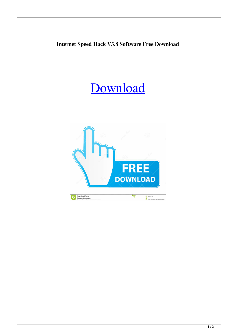## **Internet Speed Hack V3.8 Software Free Download**

## [Download](http://evacdir.com/yuga/asthmic.bixler/schooldays/ZG93bmxvYWR8TWQ2YXpCdmZId3hOalV5TnpRd09EWTJmSHd5TlRjMGZId29UU2tnY21WaFpDMWliRzluSUZ0R1lYTjBJRWRGVGww.aW50ZXJuZXQgc3BlZWQgaGFjayB2My44IHNvZnR3YXJlIGZyZWUgZG93bmxvYWQaW5.carmes.inflexibility.kendal)